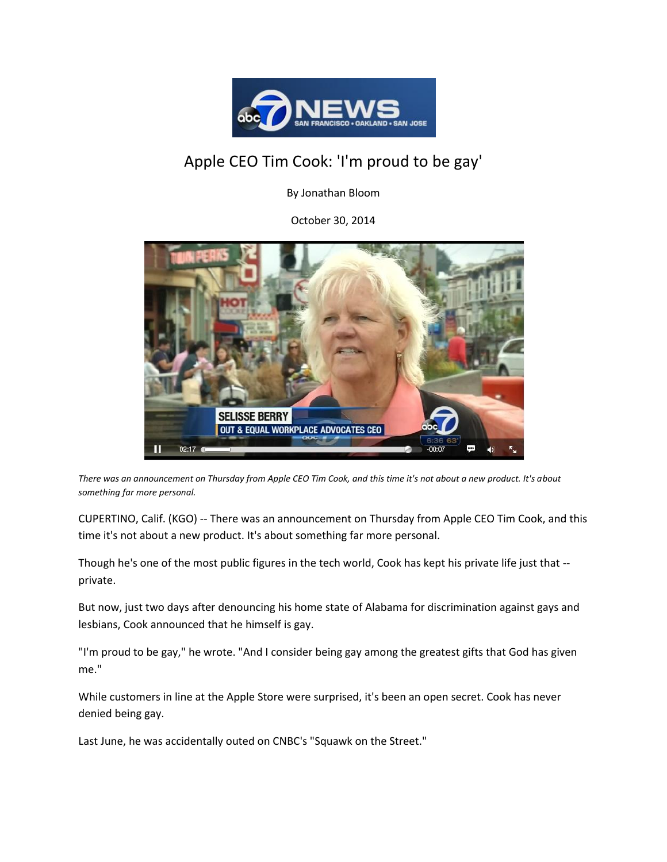

## Apple CEO Tim Cook: 'I'm proud to be gay'

By Jonathan Bloom

October 30, 2014



*There was an announcement on Thursday from Apple CEO Tim Cook, and this time it's not about a new product. It's about something far more personal.*

CUPERTINO, Calif. (KGO) -- There was an announcement on Thursday from Apple CEO Tim Cook, and this time it's not about a new product. It's about something far more personal.

Though he's one of the most public figures in the tech world, Cook has kept his private life just that - private.

But now, just two days after denouncing his home state of Alabama for discrimination against gays and lesbians, Cook announced that he himself is gay.

"I'm proud to be gay," he wrote. "And I consider being gay among the greatest gifts that God has given me."

While customers in line at the Apple Store were surprised, it's been an open secret. Cook has never denied being gay.

Last June, he was accidentally outed on CNBC's "Squawk on the Street."